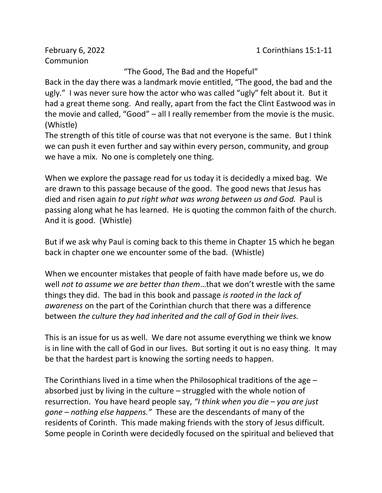Communion

"The Good, The Bad and the Hopeful"

Back in the day there was a landmark movie entitled, "The good, the bad and the ugly." I was never sure how the actor who was called "ugly" felt about it. But it had a great theme song. And really, apart from the fact the Clint Eastwood was in the movie and called, "Good" – all I really remember from the movie is the music. (Whistle)

The strength of this title of course was that not everyone is the same. But I think we can push it even further and say within every person, community, and group we have a mix. No one is completely one thing.

When we explore the passage read for us today it is decidedly a mixed bag. We are drawn to this passage because of the good. The good news that Jesus has died and risen again *to put right what was wrong between us and God.* Paul is passing along what he has learned. He is quoting the common faith of the church. And it is good. (Whistle)

But if we ask why Paul is coming back to this theme in Chapter 15 which he began back in chapter one we encounter some of the bad. (Whistle)

When we encounter mistakes that people of faith have made before us, we do well *not to assume we are better than them*…that we don't wrestle with the same things they did. The bad in this book and passage *is rooted in the lack of awareness* on the part of the Corinthian church that there was a difference between *the culture they had inherited and the call of God in their lives.*

This is an issue for us as well. We dare not assume everything we think we know is in line with the call of God in our lives. But sorting it out is no easy thing. It may be that the hardest part is knowing the sorting needs to happen.

The Corinthians lived in a time when the Philosophical traditions of the age – absorbed just by living in the culture – struggled with the whole notion of resurrection. You have heard people say, *"I think when you die – you are just gone – nothing else happens."* These are the descendants of many of the residents of Corinth. This made making friends with the story of Jesus difficult. Some people in Corinth were decidedly focused on the spiritual and believed that